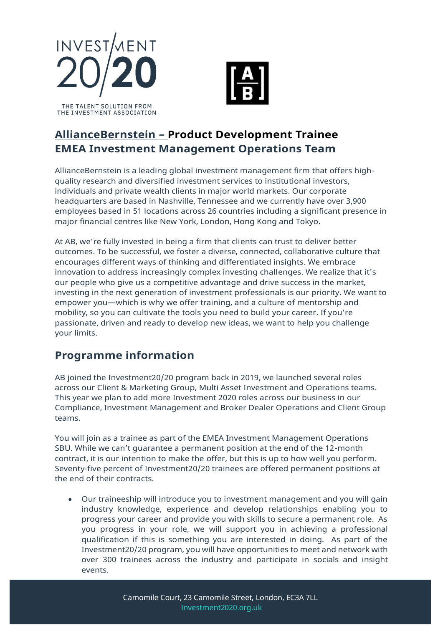



# **AllianceBernstein – Product Development Trainee EMEA Investment Management Operations Team**

AllianceBernstein is a leading global investment management firm that offers highquality research and diversified investment services to institutional investors, individuals and private wealth clients in major world markets. Our corporate headquarters are based in Nashville, Tennessee and we currently have over 3,900 employees based in 51 locations across 26 countries including a significant presence in major financial centres like New York, London, Hong Kong and Tokyo.

At AB, we're fully invested in being a firm that clients can trust to deliver better outcomes. To be successful, we foster a diverse, connected, collaborative culture that encourages different ways of thinking and differentiated insights. We embrace innovation to address increasingly complex investing challenges. We realize that it's our people who give us a competitive advantage and drive success in the market, investing in the next generation of investment professionals is our priority. We want to empower you—which is why we offer training, and a culture of mentorship and mobility, so you can cultivate the tools you need to build your career. If you're passionate, driven and ready to develop new ideas, we want to help you challenge your limits.

## **Programme information**

AB joined the Investment20/20 program back in 2019, we launched several roles across our Client & Marketing Group, Multi Asset Investment and Operations teams. This year we plan to add more Investment 2020 roles across our business in our Compliance, Investment Management and Broker Dealer Operations and Client Group teams.

You will join as a trainee as part of the EMEA Investment Management Operations SBU. While we can't guarantee a permanent position at the end of the 12-month contract, it is our intention to make the offer, but this is up to how well you perform. Seventy-five percent of Investment20/20 trainees are offered permanent positions at the end of their contracts.

• Our traineeship will introduce you to investment management and you will gain industry knowledge, experience and develop relationships enabling you to progress your career and provide you with skills to secure a permanent role. As you progress in your role, we will support you in achieving a professional qualification if this is something you are interested in doing. As part of the Investment20/20 program, you will have opportunities to meet and network with over 300 trainees across the industry and participate in socials and insight events.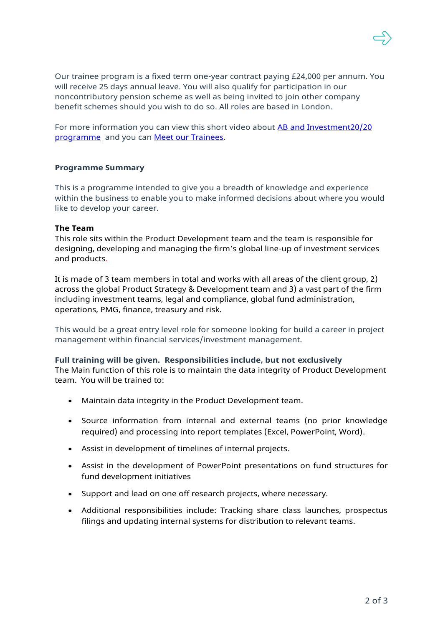

Our trainee program is a fixed term one-year contract paying £24,000 per annum. You will receive 25 days annual leave. You will also qualify for participation in our noncontributory pension scheme as well as being invited to join other company benefit schemes should you wish to do so. All roles are based in London.

For more information you can view this short video about [AB and Investment20/20](https://www.youtube.com/watch?v=7rHg1ntMLTY)  [programme](https://www.youtube.com/watch?v=7rHg1ntMLTY) and you can [Meet our Trainees.](https://www.youtube.com/watch?v=9HO7EgCcJqA)

## **Programme Summary**

This is a programme intended to give you a breadth of knowledge and experience within the business to enable you to make informed decisions about where you would like to develop your career.

#### **The Team**

This role sits within the Product Development team and the team is responsible for designing, developing and managing the firm's global line-up of investment services and products.

It is made of 3 team members in total and works with all areas of the client group, 2) across the global Product Strategy & Development team and 3) a vast part of the firm including investment teams, legal and compliance, global fund administration, operations, PMG, finance, treasury and risk.

This would be a great entry level role for someone looking for build a career in project management within financial services/investment management.

#### **Full training will be given. Responsibilities include, but not exclusively**

The Main function of this role is to maintain the data integrity of Product Development team. You will be trained to:

- Maintain data integrity in the Product Development team.
- Source information from internal and external teams (no prior knowledge required) and processing into report templates (Excel, PowerPoint, Word).
- Assist in development of timelines of internal projects.
- Assist in the development of PowerPoint presentations on fund structures for fund development initiatives
- Support and lead on one off research projects, where necessary.
- Additional responsibilities include: Tracking share class launches, prospectus filings and updating internal systems for distribution to relevant teams.